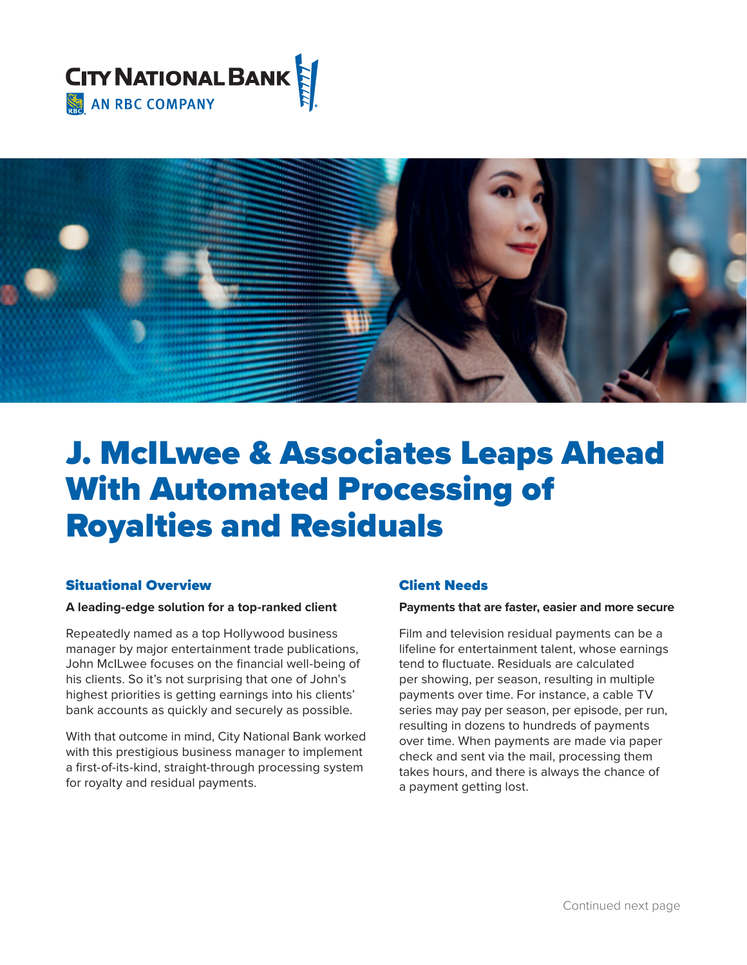



# J. McILwee & Associates Leaps Ahead With Automated Processing of Royalties and Residuals

# Situational Overview

#### **A leading-edge solution for a top-ranked client**

Repeatedly named as a top Hollywood business manager by major entertainment trade publications, John McILwee focuses on the fnancial well-being of his clients. So it's not surprising that one of John's highest priorities is getting earnings into his clients' bank accounts as quickly and securely as possible.

With that outcome in mind, City National Bank worked with this prestigious business manager to implement a first-of-its-kind, straight-through processing system for royalty and residual payments.

# Client Needs

#### **Payments that are faster, easier and more secure**

Film and television residual payments can be a lifeline for entertainment talent, whose earnings tend to fuctuate. Residuals are calculated per showing, per season, resulting in multiple payments over time. For instance, a cable TV series may pay per season, per episode, per run, resulting in dozens to hundreds of payments over time. When payments are made via paper check and sent via the mail, processing them takes hours, and there is always the chance of a payment getting lost.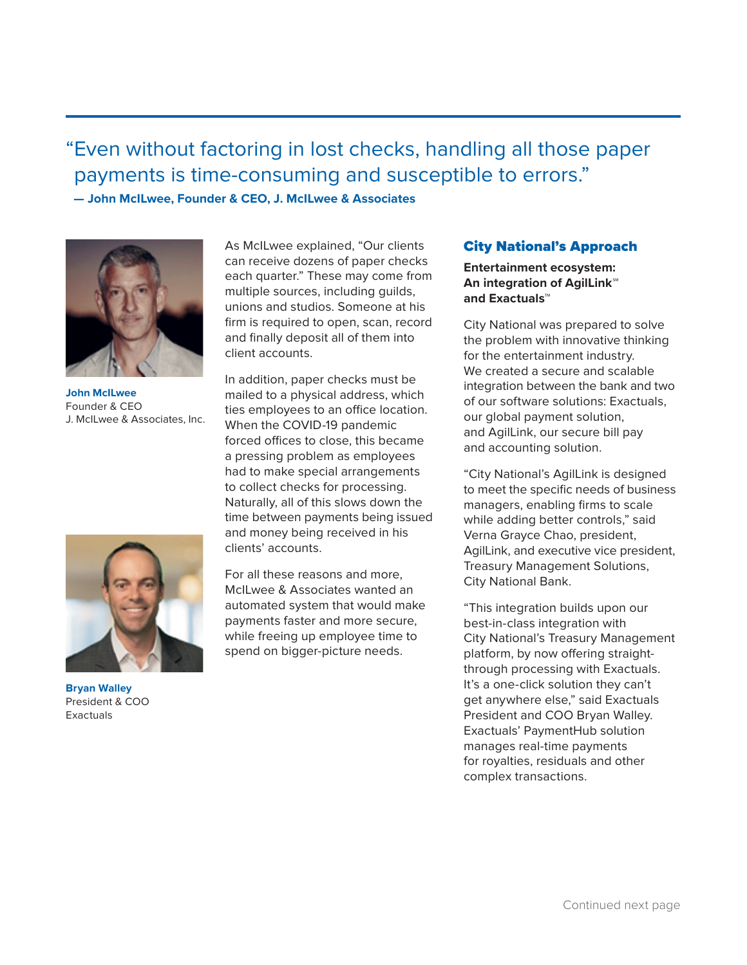"Even without factoring in lost checks, handling all those paper payments is time-consuming and susceptible to errors." **— John McILwee, Founder & CEO, J. McILwee & Associates** 



**John McILwee**  Founder & CEO J. McILwee & Associates, Inc.



**Bryan Walley**  President & COO Exactuals

As McILwee explained, "Our clients can receive dozens of paper checks each quarter." These may come from multiple sources, including guilds, unions and studios. Someone at his firm is required to open, scan, record and finally deposit all of them into client accounts.

In addition, paper checks must be mailed to a physical address, which ties employees to an office location. When the COVID-19 pandemic forced offices to close, this became a pressing problem as employees had to make special arrangements to collect checks for processing. Naturally, all of this slows down the time between payments being issued and money being received in his clients' accounts.

For all these reasons and more, McILwee & Associates wanted an automated system that would make payments faster and more secure, while freeing up employee time to spend on bigger-picture needs.

# City National's Approach

#### **An integration of AgilLink**℠ **Entertainment ecosystem: and Exactuals**™

City National was prepared to solve the problem with innovative thinking for the entertainment industry. We created a secure and scalable integration between the bank and two of our software solutions: Exactuals, our global payment solution, and AgilLink, our secure bill pay and accounting solution.

"City National's AgilLink is designed to meet the specific needs of business managers, enabling firms to scale while adding better controls," said Verna Grayce Chao, president, AgilLink, and executive vice president, Treasury Management Solutions, City National Bank.

"This integration builds upon our best-in-class integration with City National's Treasury Management platform, by now offering straightthrough processing with Exactuals. It's a one-click solution they can't get anywhere else," said Exactuals President and COO Bryan Walley. Exactuals' PaymentHub solution manages real-time payments for royalties, residuals and other complex transactions.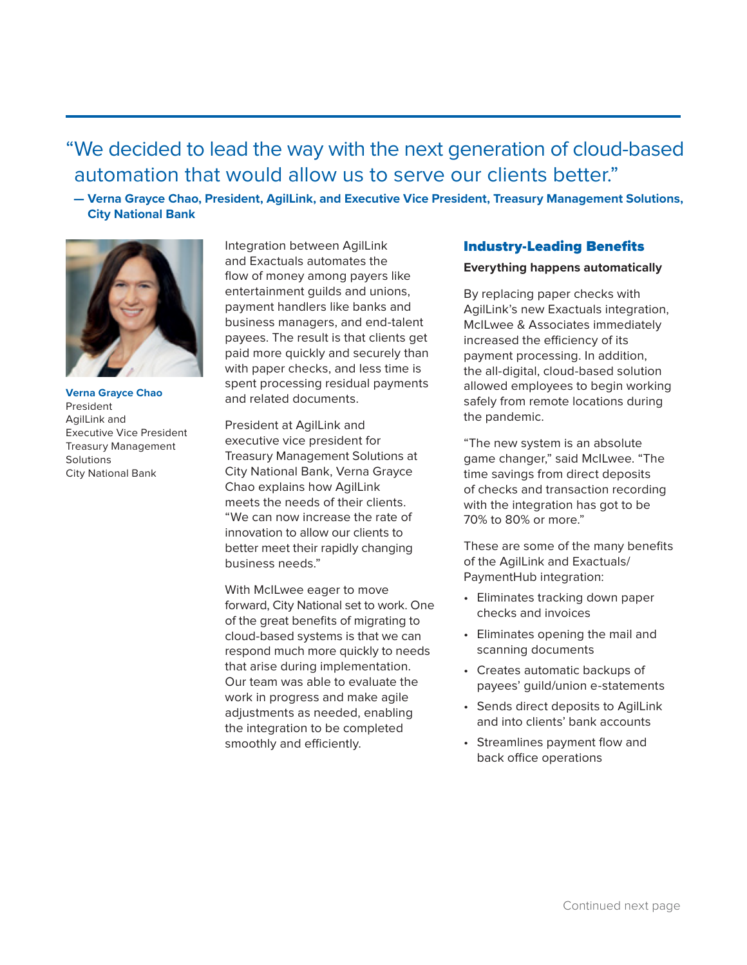# "We decided to lead the way with the next generation of cloud-based automation that would allow us to serve our clients better."

 **— Verna Grayce Chao, President, AgilLink, and Executive Vice President, Treasury Management Solutions, City National Bank** 



**Verna Grayce Chao**  President AgilLink and Executive Vice President Treasury Management Solutions City National Bank

Integration between AgilLink and Exactuals automates the flow of money among payers like entertainment guilds and unions, payment handlers like banks and business managers, and end-talent payees. The result is that clients get paid more quickly and securely than with paper checks, and less time is spent processing residual payments and related documents.

President at AgilLink and executive vice president for Treasury Management Solutions at City National Bank, Verna Grayce Chao explains how AgilLink meets the needs of their clients. "We can now increase the rate of innovation to allow our clients to better meet their rapidly changing business needs."

With McILwee eager to move forward, City National set to work. One of the great benefts of migrating to cloud-based systems is that we can respond much more quickly to needs that arise during implementation. Our team was able to evaluate the work in progress and make agile adjustments as needed, enabling the integration to be completed smoothly and efficiently.

# **Industry-Leading Benefits**

#### **Everything happens automatically**

By replacing paper checks with AgilLink's new Exactuals integration, McILwee & Associates immediately increased the efficiency of its payment processing. In addition, the all-digital, cloud-based solution allowed employees to begin working safely from remote locations during the pandemic.

"The new system is an absolute game changer," said McILwee. "The time savings from direct deposits of checks and transaction recording with the integration has got to be 70% to 80% or more."

These are some of the many benefits of the AgilLink and Exactuals/ PaymentHub integration:

- Eliminates tracking down paper checks and invoices
- Eliminates opening the mail and scanning documents
- Creates automatic backups of payees' guild/union e-statements
- Sends direct deposits to AgilLink and into clients' bank accounts
- Streamlines payment flow and back office operations